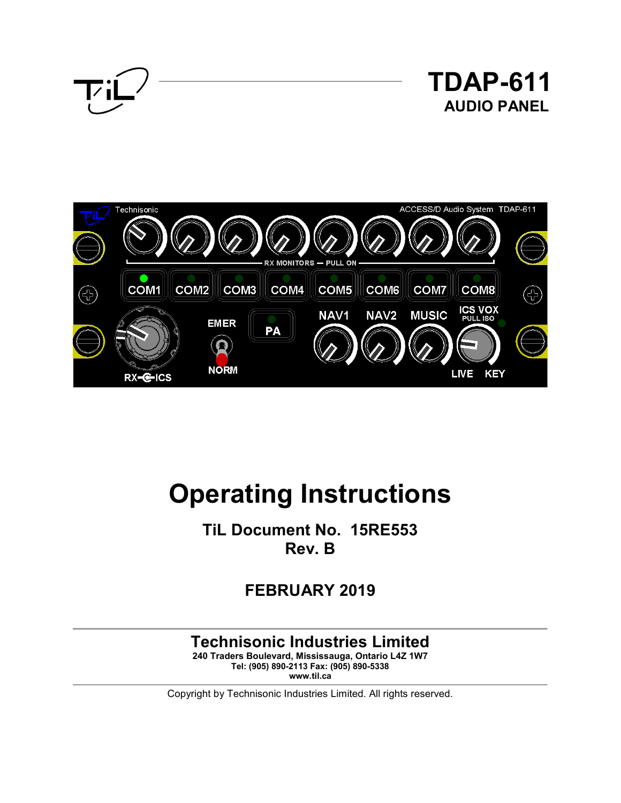



# **Operating Instructions**

**TiL Document No. 15RE553 Rev. B** 

**FEBRUARY 2019** 

# **Technisonic Industries Limited**

**240 Traders Boulevard, Mississauga, Ontario L4Z 1W7 Tel: (905) 890-2113 Fax: (905) 890-5338 www.til.ca**

Copyright by Technisonic Industries Limited. All rights reserved.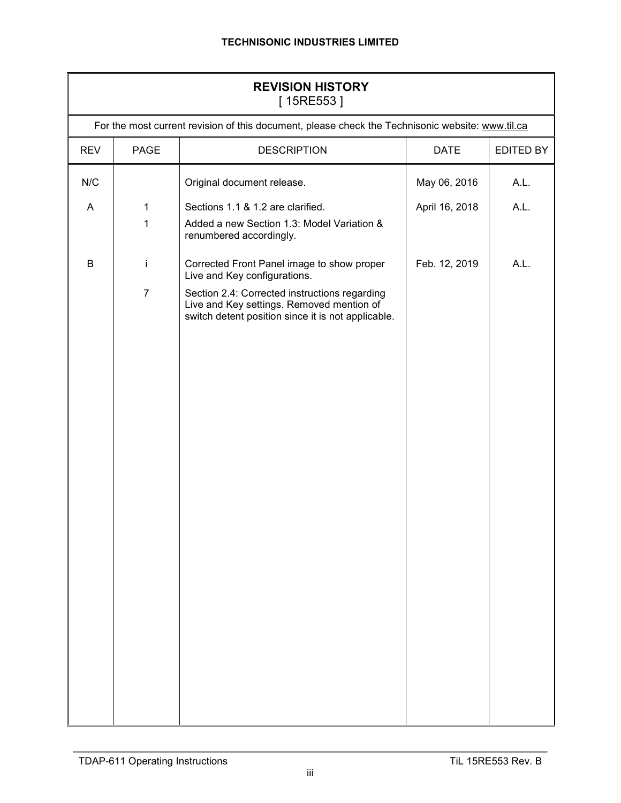| <b>REVISION HISTORY</b><br>[15RE553] |                                                                                                  |                                                                                                                                                  |                |      |  |  |
|--------------------------------------|--------------------------------------------------------------------------------------------------|--------------------------------------------------------------------------------------------------------------------------------------------------|----------------|------|--|--|
|                                      | For the most current revision of this document, please check the Technisonic website: www.til.ca |                                                                                                                                                  |                |      |  |  |
| <b>REV</b>                           | PAGE                                                                                             | <b>DESCRIPTION</b><br><b>DATE</b><br>EDITED BY                                                                                                   |                |      |  |  |
| N/C                                  |                                                                                                  | Original document release.                                                                                                                       | May 06, 2016   | A.L. |  |  |
| A                                    | 1                                                                                                | Sections 1.1 & 1.2 are clarified.                                                                                                                | April 16, 2018 | A.L. |  |  |
|                                      | 1                                                                                                | Added a new Section 1.3: Model Variation &<br>renumbered accordingly.                                                                            |                |      |  |  |
| B                                    | Ť                                                                                                | Corrected Front Panel image to show proper<br>Live and Key configurations.                                                                       | Feb. 12, 2019  | A.L. |  |  |
|                                      | $\overline{7}$                                                                                   | Section 2.4: Corrected instructions regarding<br>Live and Key settings. Removed mention of<br>switch detent position since it is not applicable. |                |      |  |  |
|                                      |                                                                                                  |                                                                                                                                                  |                |      |  |  |
|                                      |                                                                                                  |                                                                                                                                                  |                |      |  |  |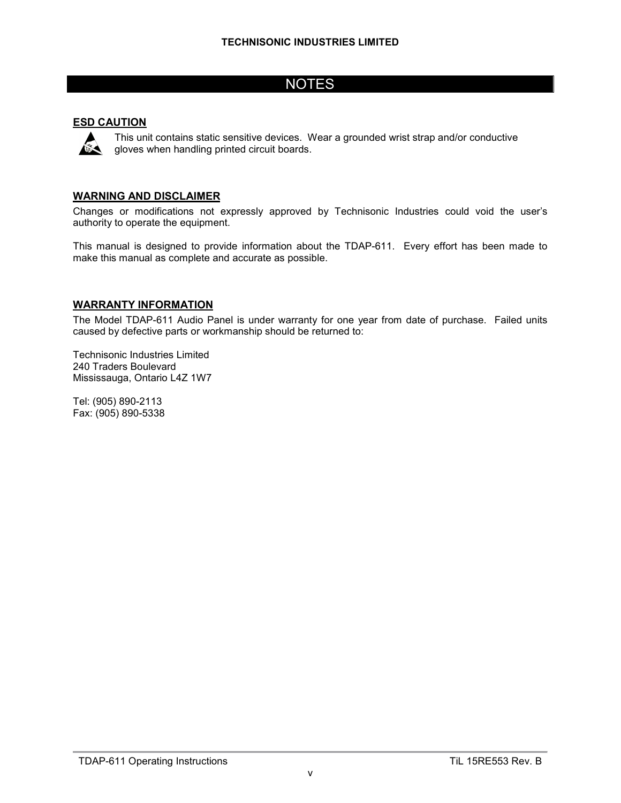# **NOTES**

#### **ESD CAUTION**



This unit contains static sensitive devices. Wear a grounded wrist strap and/or conductive gloves when handling printed circuit boards.

#### **WARNING AND DISCLAIMER**

Changes or modifications not expressly approved by Technisonic Industries could void the user's authority to operate the equipment.

This manual is designed to provide information about the TDAP-611. Every effort has been made to make this manual as complete and accurate as possible.

#### **WARRANTY INFORMATION**

The Model TDAP-611 Audio Panel is under warranty for one year from date of purchase. Failed units caused by defective parts or workmanship should be returned to:

Technisonic Industries Limited 240 Traders Boulevard Mississauga, Ontario L4Z 1W7

Tel: (905) 890-2113 Fax: (905) 890-5338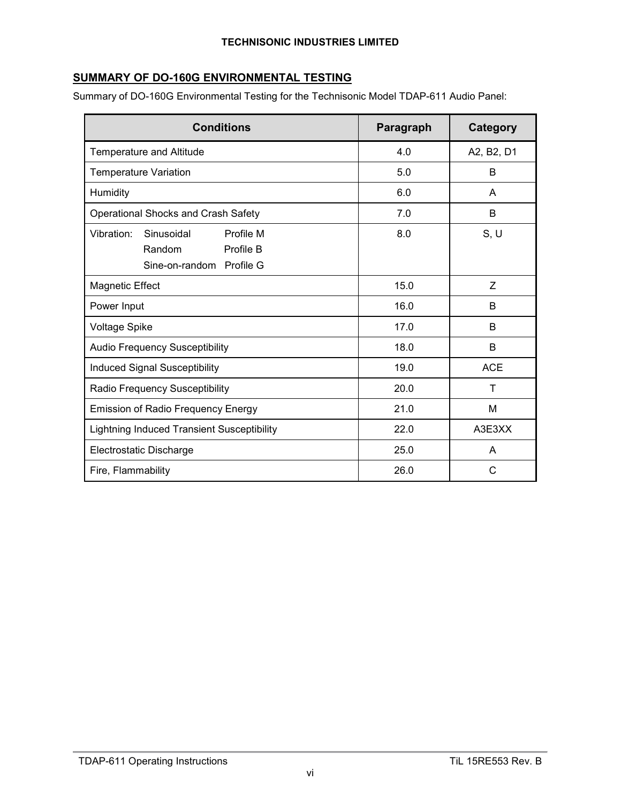## **SUMMARY OF DO-160G ENVIRONMENTAL TESTING**

Summary of DO-160G Environmental Testing for the Technisonic Model TDAP-611 Audio Panel:

| <b>Conditions</b>                                                                        | Paragraph | <b>Category</b> |
|------------------------------------------------------------------------------------------|-----------|-----------------|
| Temperature and Altitude                                                                 | 4.0       | A2, B2, D1      |
| <b>Temperature Variation</b>                                                             | 5.0       | B               |
| Humidity                                                                                 | 6.0       | A               |
| Operational Shocks and Crash Safety                                                      | 7.0       | B               |
| Profile M<br>Vibration:<br>Sinusoidal<br>Profile B<br>Random<br>Sine-on-random Profile G | 8.0       | S, U            |
| <b>Magnetic Effect</b>                                                                   | 15.0      | Z               |
| Power Input                                                                              | 16.0      | B               |
| <b>Voltage Spike</b>                                                                     | 17.0      | B               |
| <b>Audio Frequency Susceptibility</b>                                                    | 18.0      | B               |
| <b>Induced Signal Susceptibility</b>                                                     | 19.0      | <b>ACE</b>      |
| Radio Frequency Susceptibility                                                           | 20.0      | T               |
| <b>Emission of Radio Frequency Energy</b>                                                | 21.0      | M               |
| Lightning Induced Transient Susceptibility                                               | 22.0      | A3E3XX          |
| Electrostatic Discharge                                                                  | 25.0      | A               |
| Fire, Flammability                                                                       | 26.0      | C               |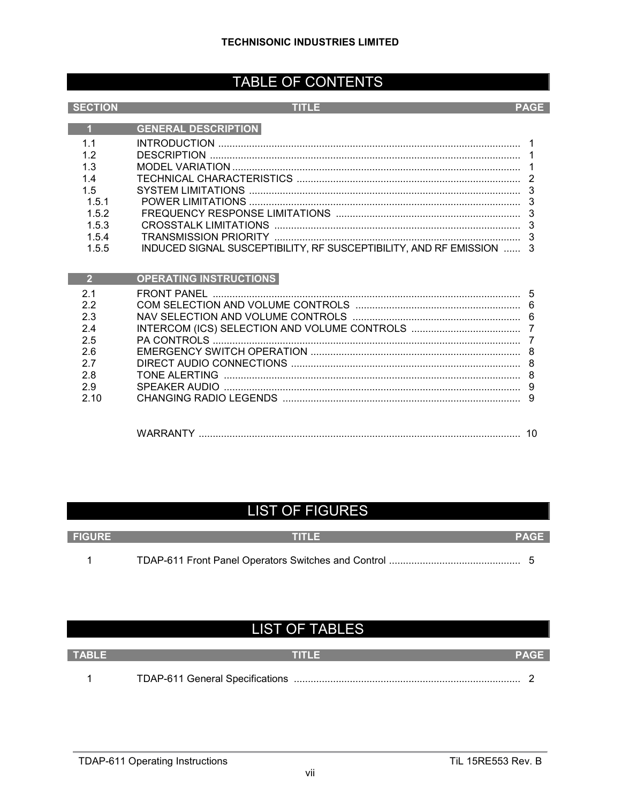# TABLE OF CONTENTS

| <b>SECTION</b> | TITLE                                                             | <b>PAGE</b>    |
|----------------|-------------------------------------------------------------------|----------------|
| $\overline{1}$ | <b>GENERAL DESCRIPTION</b>                                        |                |
| 1 <sub>1</sub> |                                                                   |                |
| 1.2            |                                                                   |                |
| 1.3            |                                                                   |                |
| 14             |                                                                   | $\overline{2}$ |
| 1.5            |                                                                   | 3              |
| 1.5.1<br>1.5.2 |                                                                   | 3<br>3         |
| 1.5.3          |                                                                   | 3              |
| 1.5.4          |                                                                   | 3              |
| 1.5.5          | INDUCED SIGNAL SUSCEPTIBILITY, RF SUSCEPTIBILITY, AND RF EMISSION | 3              |
|                |                                                                   |                |
| $\overline{2}$ | <b>OPERATING INSTRUCTIONS</b>                                     |                |
| 2.1            | <b>FRONT PANEL</b>                                                | 5              |
| 2.2            |                                                                   | 6              |
| 2.3            |                                                                   | 6              |
| 2.4            |                                                                   |                |
| 2.5            |                                                                   |                |
| 2.6            |                                                                   | 8              |
| 2.7<br>2.8     | TONE ALERTING                                                     | 8<br>8         |
| 2.9            |                                                                   | 9              |
| 2.10           |                                                                   | 9              |
|                |                                                                   |                |
|                |                                                                   | 10             |

# **LIST OF FIGURES**

| <b>FIGURE</b> | n in La | <b>PAGE</b> |
|---------------|---------|-------------|
|               |         |             |

# **LIST OF TABLES**

| <b>TABLE</b> |  |
|--------------|--|
|              |  |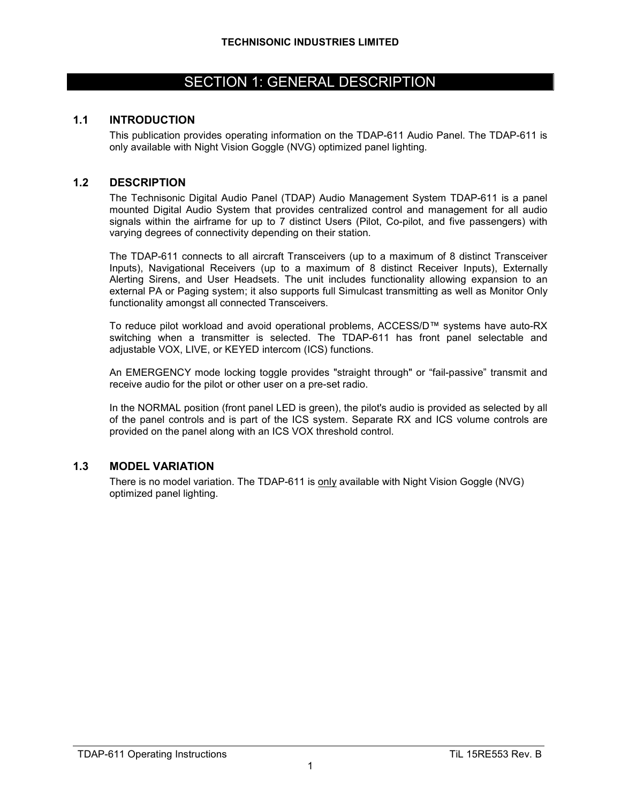# SECTION 1: GENERAL DESCRIPTION

#### **1.1 INTRODUCTION**

This publication provides operating information on the TDAP-611 Audio Panel. The TDAP-611 is only available with Night Vision Goggle (NVG) optimized panel lighting.

#### **1.2 DESCRIPTION**

The Technisonic Digital Audio Panel (TDAP) Audio Management System TDAP-611 is a panel mounted Digital Audio System that provides centralized control and management for all audio signals within the airframe for up to 7 distinct Users (Pilot, Co-pilot, and five passengers) with varying degrees of connectivity depending on their station.

The TDAP-611 connects to all aircraft Transceivers (up to a maximum of 8 distinct Transceiver Inputs), Navigational Receivers (up to a maximum of 8 distinct Receiver Inputs), Externally Alerting Sirens, and User Headsets. The unit includes functionality allowing expansion to an external PA or Paging system; it also supports full Simulcast transmitting as well as Monitor Only functionality amongst all connected Transceivers.

To reduce pilot workload and avoid operational problems, ACCESS/D™ systems have auto-RX switching when a transmitter is selected. The TDAP-611 has front panel selectable and adjustable VOX, LIVE, or KEYED intercom (ICS) functions.

An EMERGENCY mode locking toggle provides "straight through" or "fail-passive" transmit and receive audio for the pilot or other user on a pre-set radio.

In the NORMAL position (front panel LED is green), the pilot's audio is provided as selected by all of the panel controls and is part of the ICS system. Separate RX and ICS volume controls are provided on the panel along with an ICS VOX threshold control.

#### **1.3 MODEL VARIATION**

There is no model variation. The TDAP-611 is only available with Night Vision Goggle (NVG) optimized panel lighting.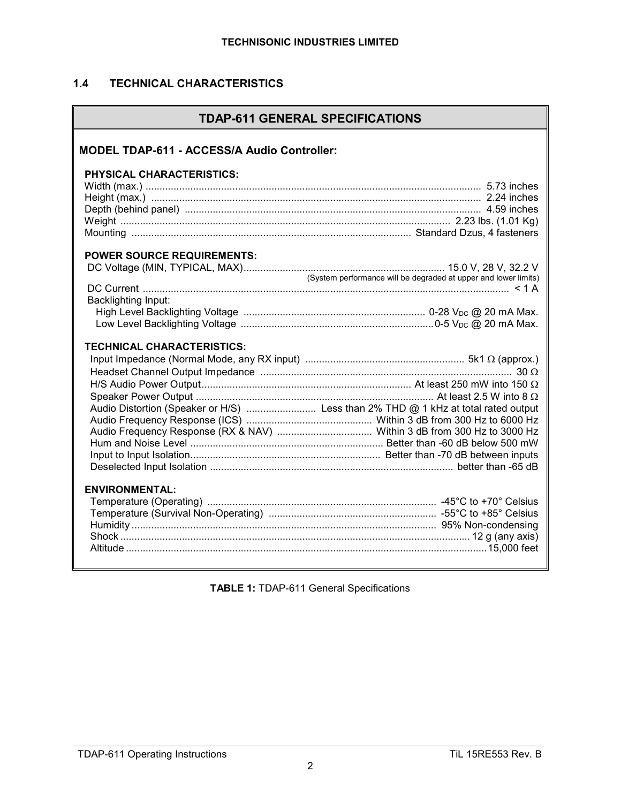# **1.4 TECHNICAL CHARACTERISTICS**

|  |  | <b>TDAP-611 GENERAL SPECIFICATIONS</b> |
|--|--|----------------------------------------|
|--|--|----------------------------------------|

| <b>MODEL TDAP-611 - ACCESS/A Audio Controller:</b> |  |
|----------------------------------------------------|--|
| <b>PHYSICAL CHARACTERISTICS:</b>                   |  |
| <b>POWER SOURCE REQUIREMENTS:</b>                  |  |
| Backlighting Input:                                |  |
| <b>TECHNICAL CHARACTERISTICS:</b>                  |  |
| <b>ENVIRONMENTAL:</b>                              |  |

**TABLE 1:** TDAP-611 General Specifications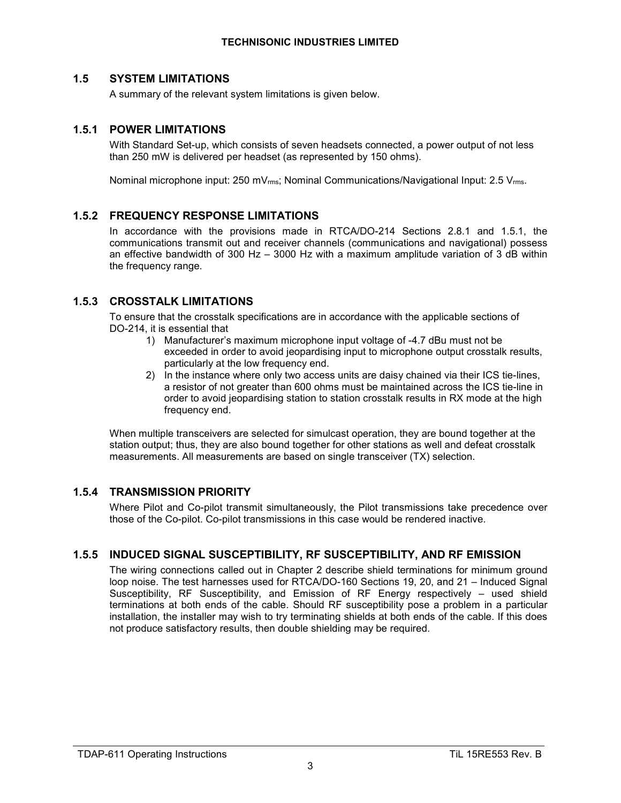#### **1.5 SYSTEM LIMITATIONS**

A summary of the relevant system limitations is given below.

#### **1.5.1 POWER LIMITATIONS**

With Standard Set-up, which consists of seven headsets connected, a power output of not less than 250 mW is delivered per headset (as represented by 150 ohms).

Nominal microphone input: 250 mVrms; Nominal Communications/Navigational Input: 2.5 Vrms.

#### **1.5.2 FREQUENCY RESPONSE LIMITATIONS**

In accordance with the provisions made in RTCA/DO-214 Sections 2.8.1 and 1.5.1, the communications transmit out and receiver channels (communications and navigational) possess an effective bandwidth of 300 Hz – 3000 Hz with a maximum amplitude variation of 3 dB within the frequency range.

#### **1.5.3 CROSSTALK LIMITATIONS**

To ensure that the crosstalk specifications are in accordance with the applicable sections of DO-214, it is essential that

- 1) Manufacturer's maximum microphone input voltage of -4.7 dBu must not be exceeded in order to avoid jeopardising input to microphone output crosstalk results, particularly at the low frequency end.
- 2) In the instance where only two access units are daisy chained via their ICS tie-lines, a resistor of not greater than 600 ohms must be maintained across the ICS tie-line in order to avoid jeopardising station to station crosstalk results in RX mode at the high frequency end.

When multiple transceivers are selected for simulcast operation, they are bound together at the station output; thus, they are also bound together for other stations as well and defeat crosstalk measurements. All measurements are based on single transceiver (TX) selection.

#### **1.5.4 TRANSMISSION PRIORITY**

Where Pilot and Co-pilot transmit simultaneously, the Pilot transmissions take precedence over those of the Co-pilot. Co-pilot transmissions in this case would be rendered inactive.

### **1.5.5 INDUCED SIGNAL SUSCEPTIBILITY, RF SUSCEPTIBILITY, AND RF EMISSION**

The wiring connections called out in Chapter 2 describe shield terminations for minimum ground loop noise. The test harnesses used for RTCA/DO-160 Sections 19, 20, and 21 – Induced Signal Susceptibility, RF Susceptibility, and Emission of RF Energy respectively – used shield terminations at both ends of the cable. Should RF susceptibility pose a problem in a particular installation, the installer may wish to try terminating shields at both ends of the cable. If this does not produce satisfactory results, then double shielding may be required.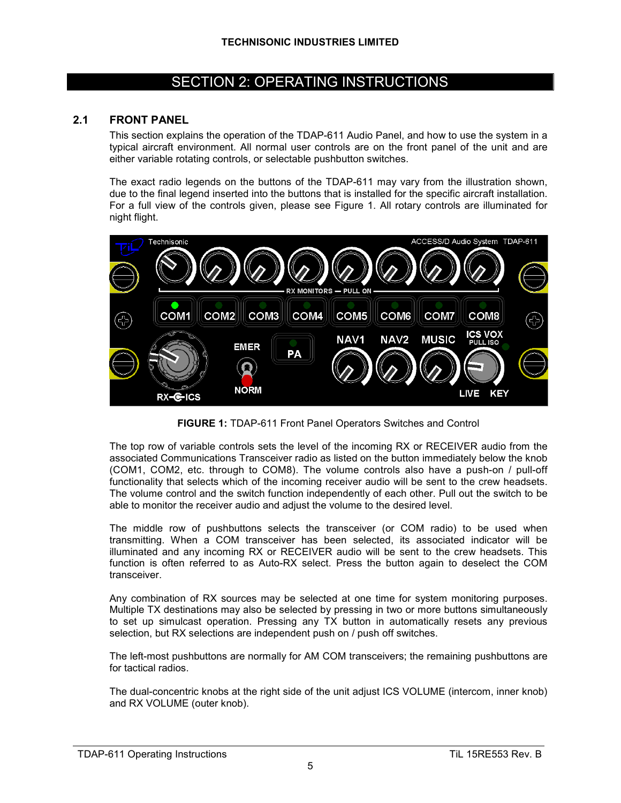# SECTION 2: OPERATING INSTRUCTIONS

#### **2.1 FRONT PANEL**

This section explains the operation of the TDAP-611 Audio Panel, and how to use the system in a typical aircraft environment. All normal user controls are on the front panel of the unit and are either variable rotating controls, or selectable pushbutton switches.

The exact radio legends on the buttons of the TDAP-611 may vary from the illustration shown, due to the final legend inserted into the buttons that is installed for the specific aircraft installation. For a full view of the controls given, please see Figure 1. All rotary controls are illuminated for night flight.



**FIGURE 1:** TDAP-611 Front Panel Operators Switches and Control

The top row of variable controls sets the level of the incoming RX or RECEIVER audio from the associated Communications Transceiver radio as listed on the button immediately below the knob (COM1, COM2, etc. through to COM8). The volume controls also have a push-on / pull-off functionality that selects which of the incoming receiver audio will be sent to the crew headsets. The volume control and the switch function independently of each other. Pull out the switch to be able to monitor the receiver audio and adjust the volume to the desired level.

The middle row of pushbuttons selects the transceiver (or COM radio) to be used when transmitting. When a COM transceiver has been selected, its associated indicator will be illuminated and any incoming RX or RECEIVER audio will be sent to the crew headsets. This function is often referred to as Auto-RX select. Press the button again to deselect the COM transceiver.

Any combination of RX sources may be selected at one time for system monitoring purposes. Multiple TX destinations may also be selected by pressing in two or more buttons simultaneously to set up simulcast operation. Pressing any TX button in automatically resets any previous selection, but RX selections are independent push on / push off switches.

The left-most pushbuttons are normally for AM COM transceivers; the remaining pushbuttons are for tactical radios.

The dual-concentric knobs at the right side of the unit adjust ICS VOLUME (intercom, inner knob) and RX VOLUME (outer knob).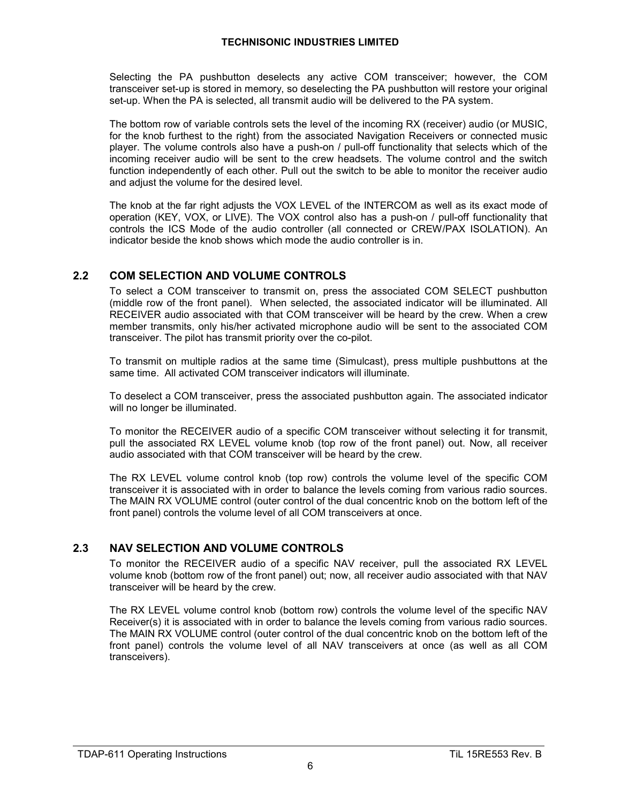Selecting the PA pushbutton deselects any active COM transceiver; however, the COM transceiver set-up is stored in memory, so deselecting the PA pushbutton will restore your original set-up. When the PA is selected, all transmit audio will be delivered to the PA system.

The bottom row of variable controls sets the level of the incoming RX (receiver) audio (or MUSIC, for the knob furthest to the right) from the associated Navigation Receivers or connected music player. The volume controls also have a push-on / pull-off functionality that selects which of the incoming receiver audio will be sent to the crew headsets. The volume control and the switch function independently of each other. Pull out the switch to be able to monitor the receiver audio and adjust the volume for the desired level.

The knob at the far right adjusts the VOX LEVEL of the INTERCOM as well as its exact mode of operation (KEY, VOX, or LIVE). The VOX control also has a push-on / pull-off functionality that controls the ICS Mode of the audio controller (all connected or CREW/PAX ISOLATION). An indicator beside the knob shows which mode the audio controller is in.

#### **2.2 COM SELECTION AND VOLUME CONTROLS**

To select a COM transceiver to transmit on, press the associated COM SELECT pushbutton (middle row of the front panel). When selected, the associated indicator will be illuminated. All RECEIVER audio associated with that COM transceiver will be heard by the crew. When a crew member transmits, only his/her activated microphone audio will be sent to the associated COM transceiver. The pilot has transmit priority over the co-pilot.

To transmit on multiple radios at the same time (Simulcast), press multiple pushbuttons at the same time. All activated COM transceiver indicators will illuminate.

To deselect a COM transceiver, press the associated pushbutton again. The associated indicator will no longer be illuminated.

To monitor the RECEIVER audio of a specific COM transceiver without selecting it for transmit, pull the associated RX LEVEL volume knob (top row of the front panel) out. Now, all receiver audio associated with that COM transceiver will be heard by the crew.

The RX LEVEL volume control knob (top row) controls the volume level of the specific COM transceiver it is associated with in order to balance the levels coming from various radio sources. The MAIN RX VOLUME control (outer control of the dual concentric knob on the bottom left of the front panel) controls the volume level of all COM transceivers at once.

### **2.3 NAV SELECTION AND VOLUME CONTROLS**

To monitor the RECEIVER audio of a specific NAV receiver, pull the associated RX LEVEL volume knob (bottom row of the front panel) out; now, all receiver audio associated with that NAV transceiver will be heard by the crew.

The RX LEVEL volume control knob (bottom row) controls the volume level of the specific NAV Receiver(s) it is associated with in order to balance the levels coming from various radio sources. The MAIN RX VOLUME control (outer control of the dual concentric knob on the bottom left of the front panel) controls the volume level of all NAV transceivers at once (as well as all COM transceivers).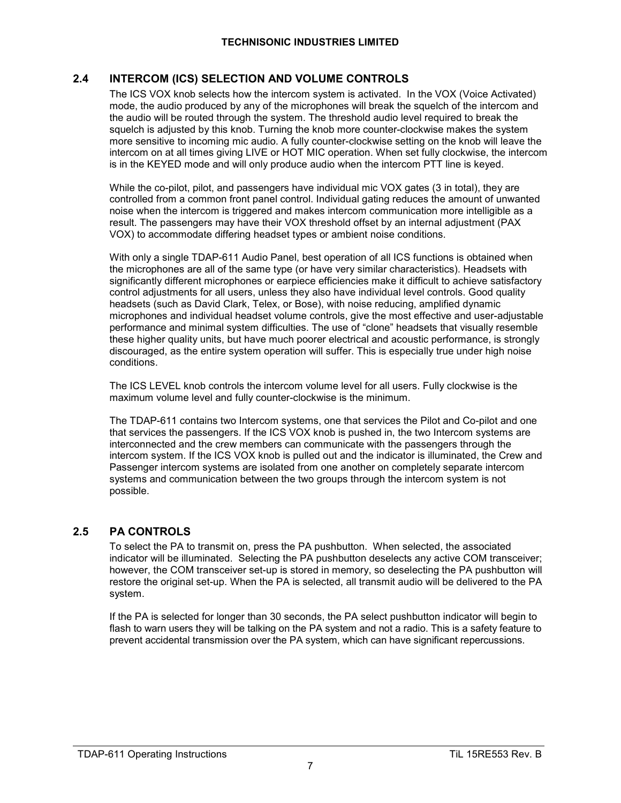## **2.4 INTERCOM (ICS) SELECTION AND VOLUME CONTROLS**

The ICS VOX knob selects how the intercom system is activated. In the VOX (Voice Activated) mode, the audio produced by any of the microphones will break the squelch of the intercom and the audio will be routed through the system. The threshold audio level required to break the squelch is adjusted by this knob. Turning the knob more counter-clockwise makes the system more sensitive to incoming mic audio. A fully counter-clockwise setting on the knob will leave the intercom on at all times giving LIVE or HOT MIC operation. When set fully clockwise, the intercom is in the KEYED mode and will only produce audio when the intercom PTT line is keyed.

While the co-pilot, pilot, and passengers have individual mic VOX gates (3 in total), they are controlled from a common front panel control. Individual gating reduces the amount of unwanted noise when the intercom is triggered and makes intercom communication more intelligible as a result. The passengers may have their VOX threshold offset by an internal adjustment (PAX VOX) to accommodate differing headset types or ambient noise conditions.

With only a single TDAP-611 Audio Panel, best operation of all ICS functions is obtained when the microphones are all of the same type (or have very similar characteristics). Headsets with significantly different microphones or earpiece efficiencies make it difficult to achieve satisfactory control adjustments for all users, unless they also have individual level controls. Good quality headsets (such as David Clark, Telex, or Bose), with noise reducing, amplified dynamic microphones and individual headset volume controls, give the most effective and user-adjustable performance and minimal system difficulties. The use of "clone" headsets that visually resemble these higher quality units, but have much poorer electrical and acoustic performance, is strongly discouraged, as the entire system operation will suffer. This is especially true under high noise conditions.

The ICS LEVEL knob controls the intercom volume level for all users. Fully clockwise is the maximum volume level and fully counter-clockwise is the minimum.

The TDAP-611 contains two Intercom systems, one that services the Pilot and Co-pilot and one that services the passengers. If the ICS VOX knob is pushed in, the two Intercom systems are interconnected and the crew members can communicate with the passengers through the intercom system. If the ICS VOX knob is pulled out and the indicator is illuminated, the Crew and Passenger intercom systems are isolated from one another on completely separate intercom systems and communication between the two groups through the intercom system is not possible.

### **2.5 PA CONTROLS**

To select the PA to transmit on, press the PA pushbutton. When selected, the associated indicator will be illuminated. Selecting the PA pushbutton deselects any active COM transceiver; however, the COM transceiver set-up is stored in memory, so deselecting the PA pushbutton will restore the original set-up. When the PA is selected, all transmit audio will be delivered to the PA system.

If the PA is selected for longer than 30 seconds, the PA select pushbutton indicator will begin to flash to warn users they will be talking on the PA system and not a radio. This is a safety feature to prevent accidental transmission over the PA system, which can have significant repercussions.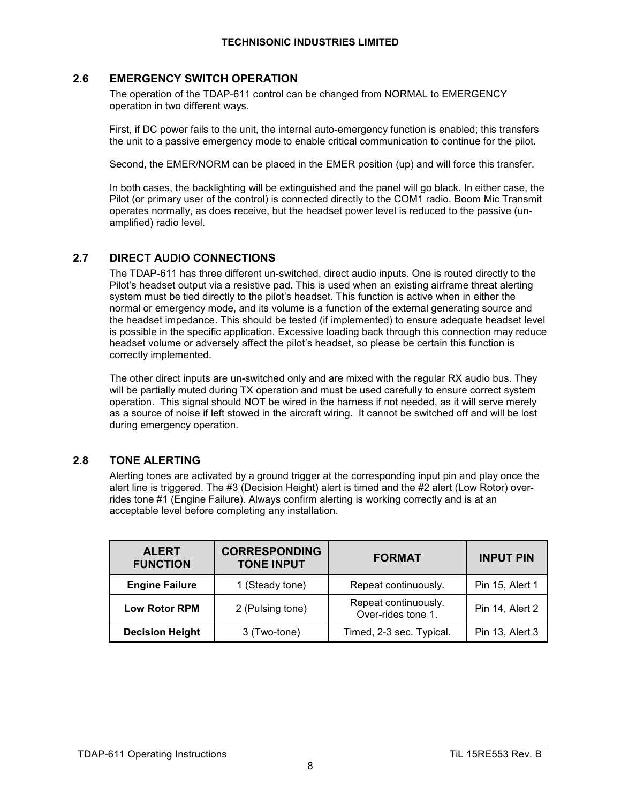#### **2.6 EMERGENCY SWITCH OPERATION**

The operation of the TDAP-611 control can be changed from NORMAL to EMERGENCY operation in two different ways.

First, if DC power fails to the unit, the internal auto-emergency function is enabled; this transfers the unit to a passive emergency mode to enable critical communication to continue for the pilot.

Second, the EMER/NORM can be placed in the EMER position (up) and will force this transfer.

In both cases, the backlighting will be extinguished and the panel will go black. In either case, the Pilot (or primary user of the control) is connected directly to the COM1 radio. Boom Mic Transmit operates normally, as does receive, but the headset power level is reduced to the passive (unamplified) radio level.

#### **2.7 DIRECT AUDIO CONNECTIONS**

The TDAP-611 has three different un-switched, direct audio inputs. One is routed directly to the Pilot's headset output via a resistive pad. This is used when an existing airframe threat alerting system must be tied directly to the pilot's headset. This function is active when in either the normal or emergency mode, and its volume is a function of the external generating source and the headset impedance. This should be tested (if implemented) to ensure adequate headset level is possible in the specific application. Excessive loading back through this connection may reduce headset volume or adversely affect the pilot's headset, so please be certain this function is correctly implemented.

The other direct inputs are un-switched only and are mixed with the regular RX audio bus. They will be partially muted during TX operation and must be used carefully to ensure correct system operation. This signal should NOT be wired in the harness if not needed, as it will serve merely as a source of noise if left stowed in the aircraft wiring. It cannot be switched off and will be lost during emergency operation.

#### **2.8 TONE ALERTING**

Alerting tones are activated by a ground trigger at the corresponding input pin and play once the alert line is triggered. The #3 (Decision Height) alert is timed and the #2 alert (Low Rotor) overrides tone #1 (Engine Failure). Always confirm alerting is working correctly and is at an acceptable level before completing any installation.

| <b>ALERT</b><br><b>FUNCTION</b> | <b>CORRESPONDING</b><br><b>TONE INPUT</b> | <b>FORMAT</b>                              | <b>INPUT PIN</b> |
|---------------------------------|-------------------------------------------|--------------------------------------------|------------------|
| <b>Engine Failure</b>           | 1 (Steady tone)                           | Repeat continuously.                       | Pin 15, Alert 1  |
| <b>Low Rotor RPM</b>            | 2 (Pulsing tone)                          | Repeat continuously.<br>Over-rides tone 1. | Pin 14, Alert 2  |
| <b>Decision Height</b>          | 3 (Two-tone)                              | Timed, 2-3 sec. Typical.                   | Pin 13, Alert 3  |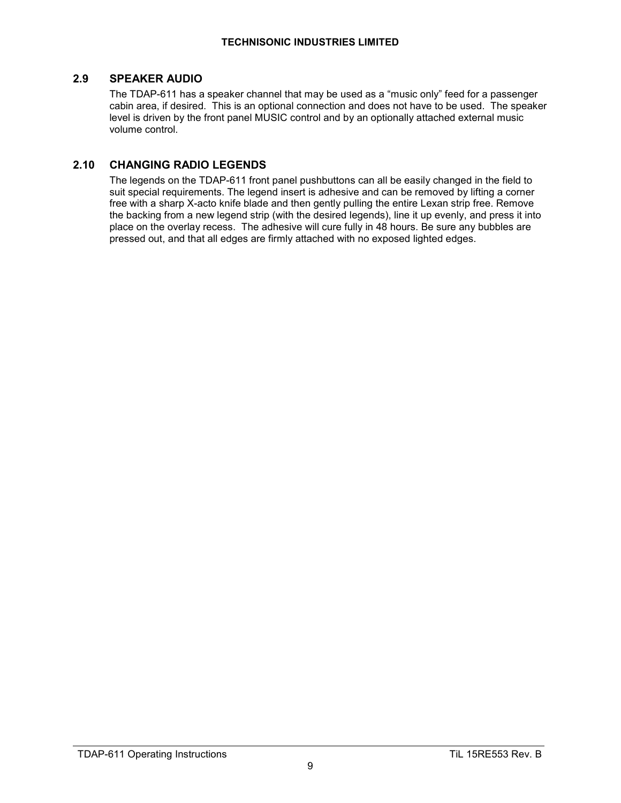#### **2.9 SPEAKER AUDIO**

The TDAP-611 has a speaker channel that may be used as a "music only" feed for a passenger cabin area, if desired. This is an optional connection and does not have to be used. The speaker level is driven by the front panel MUSIC control and by an optionally attached external music volume control.

#### **2.10 CHANGING RADIO LEGENDS**

The legends on the TDAP-611 front panel pushbuttons can all be easily changed in the field to suit special requirements. The legend insert is adhesive and can be removed by lifting a corner free with a sharp X-acto knife blade and then gently pulling the entire Lexan strip free. Remove the backing from a new legend strip (with the desired legends), line it up evenly, and press it into place on the overlay recess. The adhesive will cure fully in 48 hours. Be sure any bubbles are pressed out, and that all edges are firmly attached with no exposed lighted edges.